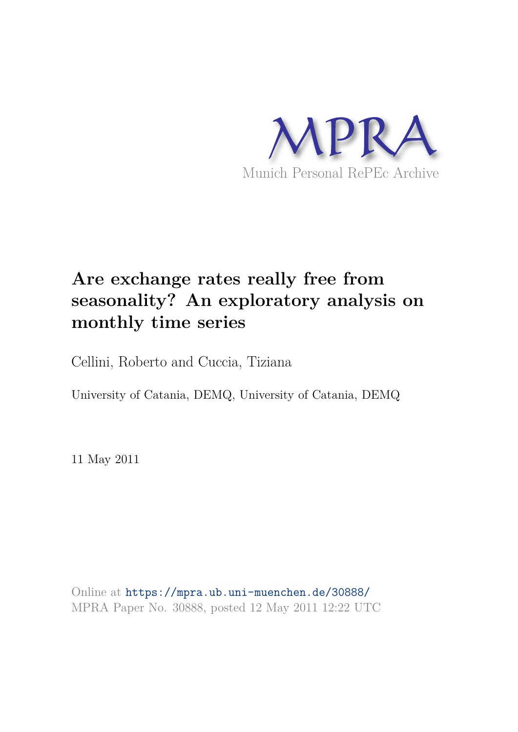

# **Are exchange rates really free from seasonality? An exploratory analysis on monthly time series**

Cellini, Roberto and Cuccia, Tiziana

University of Catania, DEMQ, University of Catania, DEMQ

11 May 2011

Online at https://mpra.ub.uni-muenchen.de/30888/ MPRA Paper No. 30888, posted 12 May 2011 12:22 UTC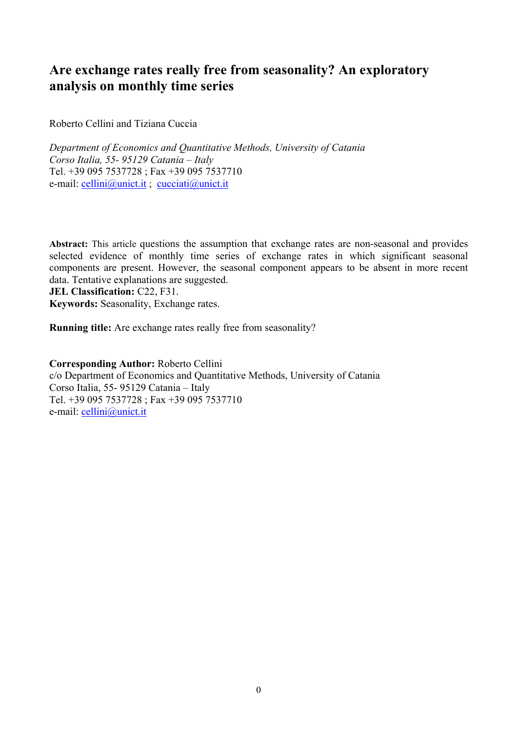## **Are exchange rates really free from seasonality? An exploratory analysis on monthly time series**

Roberto Cellini and Tiziana Cuccia

*Department of Economics and Quantitative Methods, University of Catania Corso Italia, 55- 95129 Catania – Italy*  Tel. +39 095 7537728 ; Fax +39 095 7537710 e-mail: cellini@unict.it ; cucciati@unict.it

**Abstract:** This article questions the assumption that exchange rates are non-seasonal and provides selected evidence of monthly time series of exchange rates in which significant seasonal components are present. However, the seasonal component appears to be absent in more recent data. Tentative explanations are suggested.

**JEL Classification:** C22, F31. **Keywords:** Seasonality, Exchange rates.

**Running title:** Are exchange rates really free from seasonality?

**Corresponding Author:** Roberto Cellini c/o Department of Economics and Quantitative Methods, University of Catania Corso Italia, 55- 95129 Catania – Italy Tel. +39 095 7537728 ; Fax +39 095 7537710 e-mail: cellini@unict.it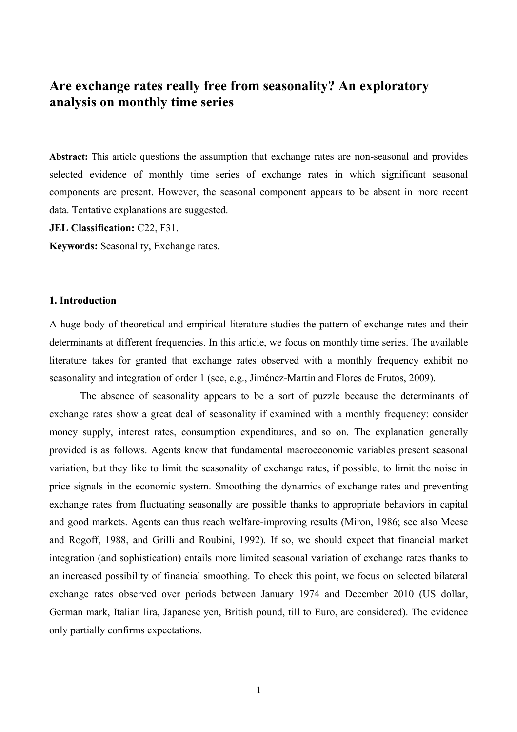## **Are exchange rates really free from seasonality? An exploratory analysis on monthly time series**

**Abstract:** This article questions the assumption that exchange rates are non-seasonal and provides selected evidence of monthly time series of exchange rates in which significant seasonal components are present. However, the seasonal component appears to be absent in more recent data. Tentative explanations are suggested.

**JEL Classification:** C22, F31.

**Keywords:** Seasonality, Exchange rates.

#### **1. Introduction**

A huge body of theoretical and empirical literature studies the pattern of exchange rates and their determinants at different frequencies. In this article, we focus on monthly time series. The available literature takes for granted that exchange rates observed with a monthly frequency exhibit no seasonality and integration of order 1 (see, e.g., Jiménez-Martin and Flores de Frutos, 2009).

 The absence of seasonality appears to be a sort of puzzle because the determinants of exchange rates show a great deal of seasonality if examined with a monthly frequency: consider money supply, interest rates, consumption expenditures, and so on. The explanation generally provided is as follows. Agents know that fundamental macroeconomic variables present seasonal variation, but they like to limit the seasonality of exchange rates, if possible, to limit the noise in price signals in the economic system. Smoothing the dynamics of exchange rates and preventing exchange rates from fluctuating seasonally are possible thanks to appropriate behaviors in capital and good markets. Agents can thus reach welfare-improving results (Miron, 1986; see also Meese and Rogoff, 1988, and Grilli and Roubini, 1992). If so, we should expect that financial market integration (and sophistication) entails more limited seasonal variation of exchange rates thanks to an increased possibility of financial smoothing. To check this point, we focus on selected bilateral exchange rates observed over periods between January 1974 and December 2010 (US dollar, German mark, Italian lira, Japanese yen, British pound, till to Euro, are considered). The evidence only partially confirms expectations.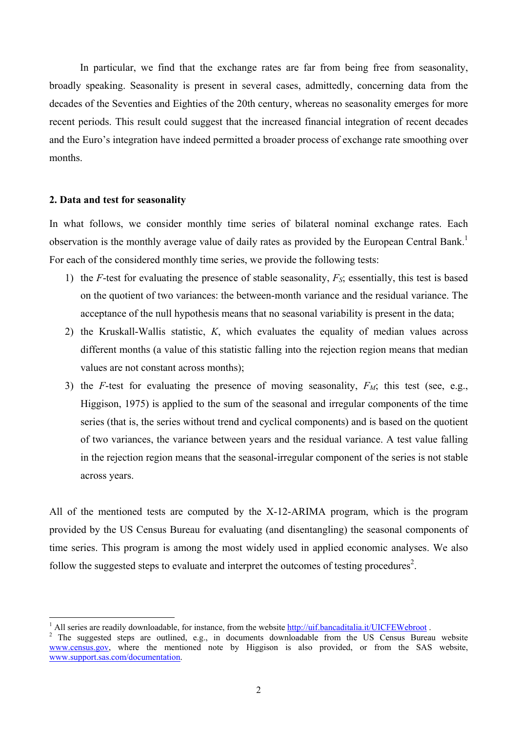In particular, we find that the exchange rates are far from being free from seasonality, broadly speaking. Seasonality is present in several cases, admittedly, concerning data from the decades of the Seventies and Eighties of the 20th century, whereas no seasonality emerges for more recent periods. This result could suggest that the increased financial integration of recent decades and the Euro's integration have indeed permitted a broader process of exchange rate smoothing over months.

#### **2. Data and test for seasonality**

 $\overline{a}$ 

In what follows, we consider monthly time series of bilateral nominal exchange rates. Each observation is the monthly average value of daily rates as provided by the European Central Bank.<sup>1</sup> For each of the considered monthly time series, we provide the following tests:

- 1) the *F*-test for evaluating the presence of stable seasonality, *FS*; essentially, this test is based on the quotient of two variances: the between-month variance and the residual variance. The acceptance of the null hypothesis means that no seasonal variability is present in the data;
- 2) the Kruskall-Wallis statistic, *K*, which evaluates the equality of median values across different months (a value of this statistic falling into the rejection region means that median values are not constant across months);
- 3) the *F*-test for evaluating the presence of moving seasonality, *FM*; this test (see, e.g., Higgison, 1975) is applied to the sum of the seasonal and irregular components of the time series (that is, the series without trend and cyclical components) and is based on the quotient of two variances, the variance between years and the residual variance. A test value falling in the rejection region means that the seasonal-irregular component of the series is not stable across years.

All of the mentioned tests are computed by the X-12-ARIMA program, which is the program provided by the US Census Bureau for evaluating (and disentangling) the seasonal components of time series. This program is among the most widely used in applied economic analyses. We also follow the suggested steps to evaluate and interpret the outcomes of testing procedures<sup>2</sup>.

<sup>1</sup> All series are readily downloadable, for instance, from the website http://uif.bancaditalia.it/UICFEWebroot .

 $2$  The suggested steps are outlined, e.g., in documents downloadable from the US Census Bureau website www.census.gov, where the mentioned note by Higgison is also provided, or from the SAS website, www.support.sas.com/documentation.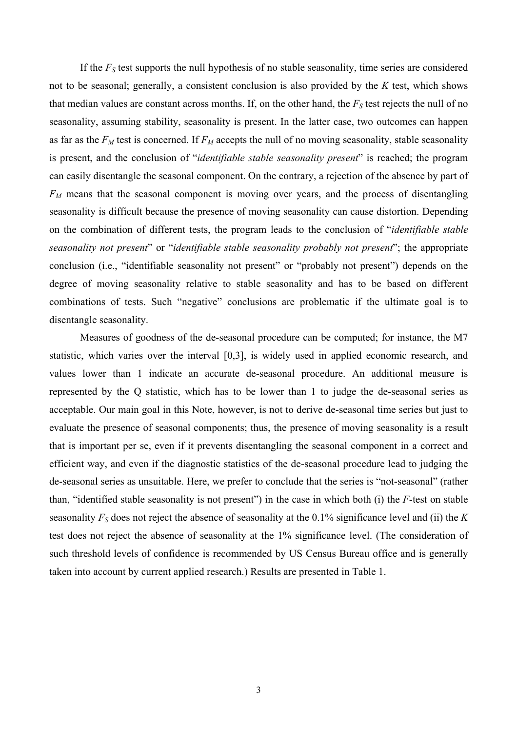If the *FS* test supports the null hypothesis of no stable seasonality, time series are considered not to be seasonal; generally, a consistent conclusion is also provided by the *K* test, which shows that median values are constant across months. If, on the other hand, the *FS* test rejects the null of no seasonality, assuming stability, seasonality is present. In the latter case, two outcomes can happen as far as the  $F_M$  test is concerned. If  $F_M$  accepts the null of no moving seasonality, stable seasonality is present, and the conclusion of "*identifiable stable seasonality present*" is reached; the program can easily disentangle the seasonal component. On the contrary, a rejection of the absence by part of *FM* means that the seasonal component is moving over years, and the process of disentangling seasonality is difficult because the presence of moving seasonality can cause distortion. Depending on the combination of different tests, the program leads to the conclusion of "*identifiable stable seasonality not present*" or "*identifiable stable seasonality probably not present*"; the appropriate conclusion (i.e., "identifiable seasonality not present" or "probably not present") depends on the degree of moving seasonality relative to stable seasonality and has to be based on different combinations of tests. Such "negative" conclusions are problematic if the ultimate goal is to disentangle seasonality.

Measures of goodness of the de-seasonal procedure can be computed; for instance, the M7 statistic, which varies over the interval [0,3], is widely used in applied economic research, and values lower than 1 indicate an accurate de-seasonal procedure. An additional measure is represented by the Q statistic, which has to be lower than 1 to judge the de-seasonal series as acceptable. Our main goal in this Note, however, is not to derive de-seasonal time series but just to evaluate the presence of seasonal components; thus, the presence of moving seasonality is a result that is important per se, even if it prevents disentangling the seasonal component in a correct and efficient way, and even if the diagnostic statistics of the de-seasonal procedure lead to judging the de-seasonal series as unsuitable. Here, we prefer to conclude that the series is "not-seasonal" (rather than, "identified stable seasonality is not present") in the case in which both (i) the *F*-test on stable seasonality *FS* does not reject the absence of seasonality at the 0.1% significance level and (ii) the *K* test does not reject the absence of seasonality at the 1% significance level. (The consideration of such threshold levels of confidence is recommended by US Census Bureau office and is generally taken into account by current applied research.) Results are presented in Table 1.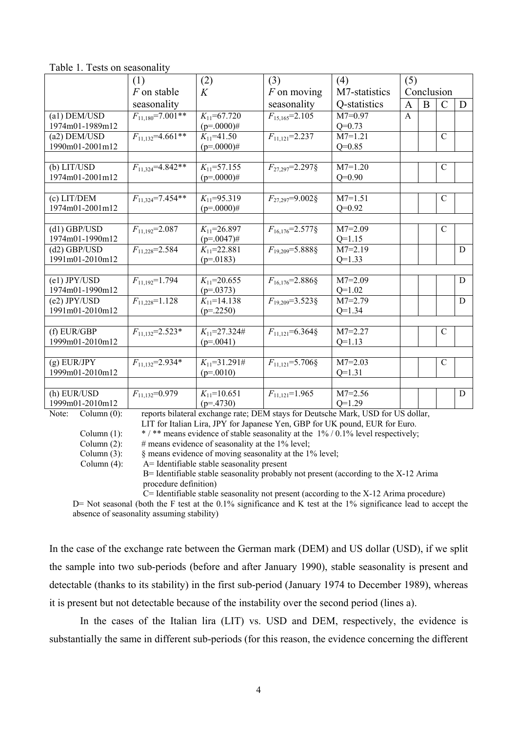| $\frac{1}{2}$   |                         |                     |                        |                       |              |   |               |   |
|-----------------|-------------------------|---------------------|------------------------|-----------------------|--------------|---|---------------|---|
|                 | (1)                     | (2)                 | (3)                    | (4)                   | (5)          |   |               |   |
|                 | F on stable             | K                   | $F$ on moving          | M7-statistics         | Conclusion   |   |               |   |
|                 | seasonality             |                     | seasonality            | Q-statistics          | $\mathbf{A}$ | B | $\mathcal{C}$ | D |
| (a1) DEM/USD    | $F_{11,180} = 7.001$ ** | $K_{11} = 67.720$   | $F_{15,165} = 2.105$   | $M7=0.97$             | A            |   |               |   |
| 1974m01-1989m12 |                         | $(p=.0000)$ #       |                        | $Q=0.73$              |              |   |               |   |
| (a2) DEM/USD    | $F_{11,132} = 4.661**$  | $K_{11}$ =41.50     | $F_{11,121} = 2.237$   | $M7=1.21$             |              |   | $\mathcal{C}$ |   |
| 1990m01-2001m12 |                         | $(p=.0000)$ #       |                        | $Q=0.85$              |              |   |               |   |
|                 |                         |                     |                        |                       |              |   |               |   |
| (b) LIT/USD     | $F_{11,324} = 4.842**$  | $K_{11} = 57.155$   | $F_{27\,297} = 2.297\$ | $M7=1.20$             |              |   | $\mathcal{C}$ |   |
| 1974m01-2001m12 |                         | $(p=.0000)$ #       |                        | $Q=0.90$              |              |   |               |   |
|                 |                         |                     |                        |                       |              |   |               |   |
| (c) LIT/DEM     | $F_{11.324} = 7.454**$  | $K_{11} = 95.319$   | $F_{27.297} = 9.002$ § | $M7=1.51$             |              |   | $\mathcal{C}$ |   |
| 1974m01-2001m12 |                         | $(p=.0000)$ #       |                        | $Q=0.92$              |              |   |               |   |
|                 |                         |                     |                        |                       |              |   |               |   |
| $(d1)$ GBP/USD  | $F_{11,192} = 2.087$    | $K_{11} = 26.897$   | $F_{16,176} = 2.577$ § | $\overline{M}$ 7=2.09 |              |   | $\mathcal{C}$ |   |
| 1974m01-1990m12 |                         | $(p=.0047)$ #       |                        | $Q=1.15$              |              |   |               |   |
| $(d2)$ GBP/USD  | $F_{11,228} = 2.584$    | $K_{11} = 22.881$   | $F_{19,209} = 5.8888$  | $M7=2.19$             |              |   |               | D |
| 1991m01-2010m12 |                         | $(p=0183)$          |                        | $Q=1.33$              |              |   |               |   |
|                 |                         |                     |                        |                       |              |   |               |   |
| $(e1)$ JPY/USD  | $F_{11.192} = 1.794$    | $K_{11}$ =20.655    | $F_{16.176} = 2.886$ § | $M7=2.09$             |              |   |               | D |
| 1974m01-1990m12 |                         | $(p=.0373)$         |                        | $Q=1.02$              |              |   |               |   |
| $(e2)$ JPY/USD  | $F_{11,228}$ =1.128     | $K_{11}$ =14.138    | $F_{19,209} = 3.523$ § | $M7=2.79$             |              |   |               | D |
| 1991m01-2010m12 |                         | $(p=2250)$          |                        | $Q=1.34$              |              |   |               |   |
|                 |                         |                     |                        |                       |              |   |               |   |
| (f) EUR/GBP     | $F_{11.132} = 2.523*$   | $K_{11} = 27.324\#$ | $F_{11,121} = 6.364\$  | $M7 = 2.27$           |              |   | $\mathcal{C}$ |   |
| 1999m01-2010m12 |                         | $(p=.0041)$         |                        | $Q=1.13$              |              |   |               |   |
|                 |                         |                     |                        |                       |              |   |               |   |
| $(g)$ EUR/JPY   | $F_{11,132} = 2.934*$   | $K_{11} = 31.291#$  | $F_{11,121} = 5.706$ § | $M7 = 2.03$           |              |   | $\mathcal{C}$ |   |
| 1999m01-2010m12 |                         | $(p=.0010)$         |                        | $Q=1.31$              |              |   |               |   |
|                 |                         |                     |                        |                       |              |   |               |   |
| (h) EUR/USD     | $F_{11,132}=0.979$      | $K_{11}$ =10.651    | $F_{11.121}$ =1.965    | $M7 = 2.56$           |              |   |               | D |
| 1999m01-2010m12 |                         | $(p=.4730)$         |                        | $O=1.29$              |              |   |               |   |

Table 1. Tests on seasonality

Note: Column (0): reports bilateral exchange rate; DEM stays for Deutsche Mark, USD for US dollar,

LIT for Italian Lira, JPY for Japanese Yen, GBP for UK pound, EUR for Euro.

Column (1):  $* / **$  means evidence of stable seasonality at the 1% / 0.1% level respectively; Column  $(2)$ : # means evidence of seasonality at the 1% level:

Column  $(3)$ :  $\&$  means evidence of moving seasonality at the 1% level;

Column (4): A= Identifiable stable seasonality present

 $B=$  Identifiable stable seasonality probably not present (according to the X-12 Arima procedure definition)

C= Identifiable stable seasonality not present (according to the X-12 Arima procedure)

D= Not seasonal (both the F test at the 0.1% significance and K test at the 1% significance lead to accept the absence of seasonality assuming stability)

In the case of the exchange rate between the German mark (DEM) and US dollar (USD), if we split the sample into two sub-periods (before and after January 1990), stable seasonality is present and detectable (thanks to its stability) in the first sub-period (January 1974 to December 1989), whereas it is present but not detectable because of the instability over the second period (lines a).

In the cases of the Italian lira (LIT) vs. USD and DEM, respectively, the evidence is substantially the same in different sub-periods (for this reason, the evidence concerning the different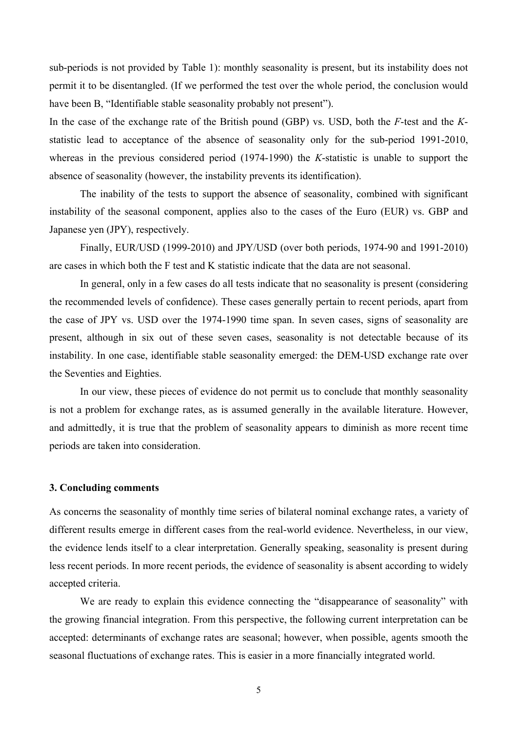sub-periods is not provided by Table 1): monthly seasonality is present, but its instability does not permit it to be disentangled. (If we performed the test over the whole period, the conclusion would have been B, "Identifiable stable seasonality probably not present").

In the case of the exchange rate of the British pound (GBP) vs. USD, both the *F*-test and the *K*statistic lead to acceptance of the absence of seasonality only for the sub-period 1991-2010, whereas in the previous considered period (1974-1990) the *K*-statistic is unable to support the absence of seasonality (however, the instability prevents its identification).

The inability of the tests to support the absence of seasonality, combined with significant instability of the seasonal component, applies also to the cases of the Euro (EUR) vs. GBP and Japanese yen (JPY), respectively.

Finally, EUR/USD (1999-2010) and JPY/USD (over both periods, 1974-90 and 1991-2010) are cases in which both the F test and K statistic indicate that the data are not seasonal.

In general, only in a few cases do all tests indicate that no seasonality is present (considering the recommended levels of confidence). These cases generally pertain to recent periods, apart from the case of JPY vs. USD over the 1974-1990 time span. In seven cases, signs of seasonality are present, although in six out of these seven cases, seasonality is not detectable because of its instability. In one case, identifiable stable seasonality emerged: the DEM-USD exchange rate over the Seventies and Eighties.

In our view, these pieces of evidence do not permit us to conclude that monthly seasonality is not a problem for exchange rates, as is assumed generally in the available literature. However, and admittedly, it is true that the problem of seasonality appears to diminish as more recent time periods are taken into consideration.

#### **3. Concluding comments**

As concerns the seasonality of monthly time series of bilateral nominal exchange rates, a variety of different results emerge in different cases from the real-world evidence. Nevertheless, in our view, the evidence lends itself to a clear interpretation. Generally speaking, seasonality is present during less recent periods. In more recent periods, the evidence of seasonality is absent according to widely accepted criteria.

We are ready to explain this evidence connecting the "disappearance of seasonality" with the growing financial integration. From this perspective, the following current interpretation can be accepted: determinants of exchange rates are seasonal; however, when possible, agents smooth the seasonal fluctuations of exchange rates. This is easier in a more financially integrated world.